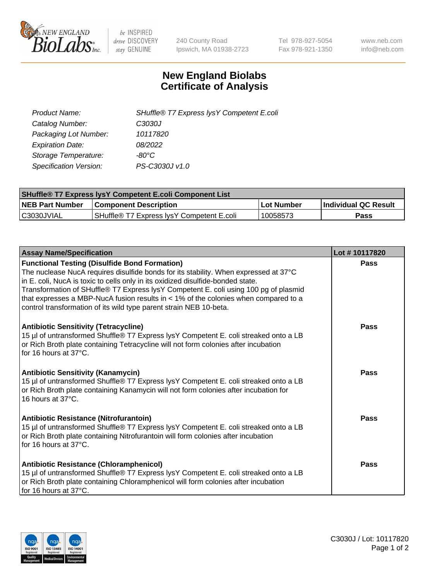

 $be$  INSPIRED drive DISCOVERY stay GENUINE

240 County Road Ipswich, MA 01938-2723 Tel 978-927-5054 Fax 978-921-1350 www.neb.com info@neb.com

## **New England Biolabs Certificate of Analysis**

| Product Name:                 | SHuffle® T7 Express lysY Competent E.coli |
|-------------------------------|-------------------------------------------|
| Catalog Number:               | C3030J                                    |
| Packaging Lot Number:         | 10117820                                  |
| <b>Expiration Date:</b>       | 08/2022                                   |
| Storage Temperature:          | -80°C.                                    |
| <b>Specification Version:</b> | PS-C3030J v1.0                            |

| <b>SHuffle® T7 Express lysY Competent E.coli Component List</b> |                                           |                   |                             |  |
|-----------------------------------------------------------------|-------------------------------------------|-------------------|-----------------------------|--|
| <b>NEB Part Number</b>                                          | <b>Component Description</b>              | <b>Lot Number</b> | <b>Individual QC Result</b> |  |
| C3030JVIAL                                                      | SHuffle® T7 Express IysY Competent E.coli | 10058573          | Pass                        |  |

| <b>Assay Name/Specification</b>                                                                                                                                                                                                                                                                                                                                                                                                                                                        | Lot #10117820 |
|----------------------------------------------------------------------------------------------------------------------------------------------------------------------------------------------------------------------------------------------------------------------------------------------------------------------------------------------------------------------------------------------------------------------------------------------------------------------------------------|---------------|
| <b>Functional Testing (Disulfide Bond Formation)</b><br>The nuclease NucA requires disulfide bonds for its stability. When expressed at 37°C<br>in E. coli, NucA is toxic to cells only in its oxidized disulfide-bonded state.<br>Transformation of SHuffle® T7 Express lysY Competent E. coli using 100 pg of plasmid<br>that expresses a MBP-NucA fusion results in $<$ 1% of the colonies when compared to a<br>control transformation of its wild type parent strain NEB 10-beta. | Pass          |
| <b>Antibiotic Sensitivity (Tetracycline)</b><br>15 µl of untransformed Shuffle® T7 Express lysY Competent E. coli streaked onto a LB<br>or Rich Broth plate containing Tetracycline will not form colonies after incubation<br>for 16 hours at 37°C.                                                                                                                                                                                                                                   | Pass          |
| <b>Antibiotic Sensitivity (Kanamycin)</b><br>15 µl of untransformed Shuffle® T7 Express lysY Competent E. coli streaked onto a LB<br>or Rich Broth plate containing Kanamycin will not form colonies after incubation for<br>16 hours at 37°C.                                                                                                                                                                                                                                         | Pass          |
| <b>Antibiotic Resistance (Nitrofurantoin)</b><br>15 µl of untransformed Shuffle® T7 Express lysY Competent E. coli streaked onto a LB<br>or Rich Broth plate containing Nitrofurantoin will form colonies after incubation<br>for 16 hours at 37°C.                                                                                                                                                                                                                                    | Pass          |
| <b>Antibiotic Resistance (Chloramphenicol)</b><br>15 µl of untransformed Shuffle® T7 Express lysY Competent E. coli streaked onto a LB<br>or Rich Broth plate containing Chloramphenicol will form colonies after incubation<br>for 16 hours at 37°C.                                                                                                                                                                                                                                  | Pass          |